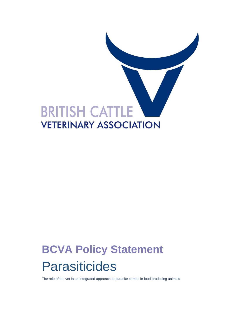

# **BCVA Policy Statement**  Parasiticides

The role of the vet in an integrated approach to parasite control in food producing animals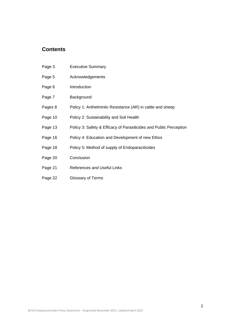# **Contents**

| Page 3  | <b>Executive Summary</b>                                           |
|---------|--------------------------------------------------------------------|
| Page 5  | Acknowledgements                                                   |
| Page 6  | Introduction                                                       |
| Page 7  | Background                                                         |
| Pages 8 | Policy 1: Anthelmintic Resistance (AR) in cattle and sheep         |
| Page 10 | Policy 2: Sustainability and Soil Health                           |
| Page 13 | Policy 3: Safety & Efficacy of Parasiticides and Public Perception |
| Page 16 | Policy 4: Education and Development of new Ethos                   |
| Page 18 | Policy 5: Method of supply of Endoparaciticides                    |
| Page 20 | Conclusion                                                         |
| Page 21 | <b>References and Useful Links</b>                                 |
| Page 22 | Glossary of Terms                                                  |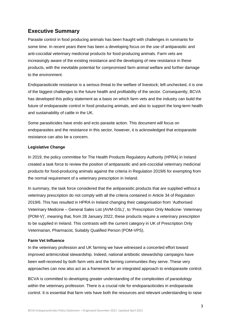# **Executive Summary**

Parasite control in food producing animals has been fraught with challenges in ruminants for some time. In recent years there has been a developing focus on the use of antiparasitic and anti-coccidial veterinary medicinal products for food-producing animals. Farm vets are increasingly aware of the existing resistance and the developing of new resistance in these products, with the inevitable potential for compromised farm animal welfare and further damage to the environment.

Endoparasiticide resistance is a serious threat to the welfare of livestock; left unchecked, it is one of the biggest challenges to the future health and profitability of the sector. Consequently, BCVA has developed this policy statement as a basis on which farm vets and the industry can build the future of endoparasite control in food producing animals, and also to support the long-term health and sustainability of cattle in the UK.

Some parasiticides have endo and ecto parasite action. This document will focus on endoparasites and the resistance in this sector, however, it is acknowledged that ectoparasite resistance can also be a concern.

## **Legislative Change**

In 2019, the policy committee for The Health Products Regulatory Authority (HPRA) in Ireland created a task force to review the position of antiparasitic and anti-coccidial veterinary medicinal products for food-producing animals against the criteria in Regulation 2019/6 for exempting from the normal requirement of a veterinary prescription in Ireland.

In summary, the task force considered that the antiparasitic products that are supplied without a veterinary prescription do not comply with all the criteria contained in Article 34 of Regulation 2019/6. This has resulted in HPRA in Ireland changing their categorisation from 'Authorised Veterinary Medicine – General Sales List (AVM-GSL)', to 'Prescription Only Medicine- Veterinary (POM-V)', meaning that, from 28 January 2022, these products require a veterinary prescription to be supplied in Ireland. This contrasts with the current category in UK of Prescription Only Veterinarian, Pharmacist, Suitably Qualified Person (POM-VPS).

## **Farm Vet Influence**

In the veterinary profession and UK farming we have witnessed a concerted effort toward improved antimicrobial stewardship. Indeed, national antibiotic stewardship campaigns have been well-received by both farm vets and the farming communities they serve. These very approaches can now also act as a framework for an integrated approach to endoparasite control.

BCVA is committed to developing greater understanding of the complexities of parasitology within the veterinary profession. There is a crucial role for endoparaciticides in endoparasite control. It is essential that farm vets have both the resources and relevant understanding to raise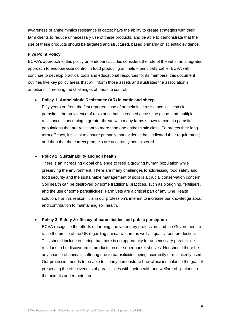awareness of anthelmintics resistance in cattle; have the ability to create strategies with their farm clients to reduce unnecessary use of these products; and be able to demonstrate that the use of these products should be targeted and structured, based primarily on scientific evidence.

#### **Five Point Policy**

BCVA's approach to this policy on endoparaciticides considers the role of the vet in an integrated approach to endoparasite control in food producing animals – principally cattle. BCVA will continue to develop practical tools and educational resources for its members; this document outlines five key policy areas that will inform those assets and illustrates the association's ambitions in meeting the challenges of parasite control.

#### • **Policy 1: Anthelmintic Resistance (AR) in cattle and sheep**

Fifty years on from the first reported case of anthelmintic resistance in livestock parasites, the prevalence of resistance has increased across the globe, and multiple resistance is becoming a greater threat, with many farms shown to contain parasite populations that are resistant to more than one anthelmintic class. To protect their longterm efficacy, it is vital to ensure primarily that evidence has indicated their requirement; and then that the correct products are accurately administered.

#### • **Policy 2: Sustainability and soil health**

There is an increasing global challenge to feed a growing human population while preserving the environment. There are many challenges to addressing food safety and food security and the sustainable management of soils is a crucial conservation concern. Soil health can be destroyed by some traditional practices, such as ploughing, fertilisers, and the use of some parasiticides. Farm vets are a critical part of any One Health solution. For this reason, it is in our profession's interest to increase our knowledge about and contribution to maintaining soil health.

#### • **Policy 3: Safety & efficacy of parasiticides and public perception**

BCVA recognise the efforts of farming, the veterinary profession, and the Government to raise the profile of the UK regarding animal welfare as well as quality food production. This should include ensuring that there is no opportunity for unnecessary parasiticide residues to be discovered in products on our supermarket shelves. Nor should there be any chance of animals suffering due to parasiticides being incorrectly or mistakenly used. Our profession needs to be able to clearly demonstrate how clinicians balance the goal of preserving the effectiveness of parasiticides with their health and welfare obligations to the animals under their care.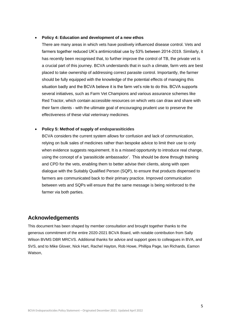#### • **Policy 4: Education and development of a new ethos**

There are many areas in which vets have positively influenced disease control. Vets and farmers together reduced UK's antimicrobial use by 53% between 2014-2019. Similarly, it has recently been recognised that, to further improve the control of TB, the private vet is a crucial part of this journey. BCVA understands that in such a climate, farm vets are best placed to take ownership of addressing correct parasite control. Importantly, the farmer should be fully equipped with the knowledge of the potential effects of managing this situation badly and the BCVA believe it is the farm vet's role to do this. BCVA supports several initiatives, such as Farm Vet Champions and various assurance schemes like Red Tractor, which contain accessible resources on which vets can draw and share with their farm clients - with the ultimate goal of encouraging prudent use to preserve the effectiveness of these vital veterinary medicines.

#### • **Policy 5: Method of supply of endoparasiticides**

BCVA considers the current system allows for confusion and lack of communication, relying on bulk sales of medicines rather than bespoke advice to limit their use to only when evidence suggests requirement. It is a missed opportunity to introduce real change, using the concept of a 'parasiticide ambassador'. This should be done through training and CPD for the vets, enabling them to better advise their clients, along with open dialogue with the Suitably Qualified Person (SQP), to ensure that products dispensed to farmers are communicated back to their primary practice. Improved communication between vets and SQPs will ensure that the same message is being reinforced to the farmer via both parties.

## **Acknowledgements**

This document has been shaped by member consultation and brought together thanks to the generous commitment of the entire 2020-2021 BCVA Board, with notable contribution from Sally Wilson BVMS DBR MRCVS. Additional thanks for advice and support goes to colleagues in BVA, and SVS, and to Mike Glover, Nick Hart, Rachel Hayton, Rob Howe, Phillipa Page, Ian Richards, Eamon Watson,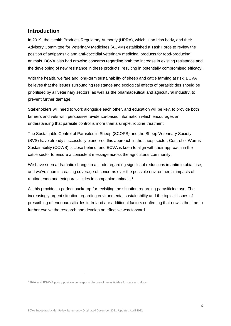## **Introduction**

In 2019, the Health Products Regulatory Authority (HPRA), which is an Irish body, and their Advisory Committee for Veterinary Medicines (ACVM) established a Task Force to review the position of antiparasitic and anti-coccidial veterinary medicinal products for food-producing animals. BCVA also had growing concerns regarding both the increase in existing resistance and the developing of new resistance in these products, resulting in potentially compromised efficacy.

With the health, welfare and long-term sustainability of sheep and cattle farming at risk, BCVA believes that the issues surrounding resistance and ecological effects of parasiticides should be prioritised by all veterinary sectors, as well as the pharmaceutical and agricultural industry, to prevent further damage.

Stakeholders will need to work alongside each other, and education will be key, to provide both farmers and vets with persuasive, evidence-based information which encourages an understanding that parasite control is more than a simple, routine treatment.

The Sustainable Control of Parasites in Sheep (SCOPS) and the Sheep Veterinary Society (SVS) have already successfully pioneered this approach in the sheep sector; Control of Worms Sustainability (COWS) is close behind, and BCVA is keen to align with their approach in the cattle sector to ensure a consistent message across the agricultural community.

We have seen a dramatic change in attitude regarding significant reductions in antimicrobial use, and we've seen increasing coverage of concerns over the possible environmental impacts of routine endo and ectoparasiticides in companion animals.<sup>1</sup>

All this provides a perfect backdrop for revisiting the situation regarding parasiticide use. The increasingly urgent situation regarding environmental sustainability and the topical issues of prescribing of endoparasiticides in Ireland are additional factors confirming that now is the time to further evolve the research and develop an effective way forward.

<sup>&</sup>lt;sup>1</sup> BVA and BSAVA policy position on responsible use of parasiticides for cats and dogs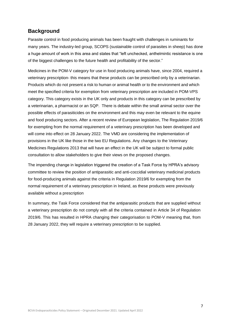# **Background**

Parasite control in food producing animals has been fraught with challenges in ruminants for many years. The industry-led group, SCOPS (sustainable control of parasites in sheep) has done a huge amount of work in this area and states that "left unchecked, anthelmintic resistance is one of the biggest challenges to the future health and profitability of the sector."

Medicines in the POM-V category for use in food producing animals have, since 2004, required a veterinary prescription- this means that these products can be prescribed only by a veterinarian. Products which do not present a risk to human or animal health or to the environment and which meet the specified criteria for exemption from veterinary prescription are included in POM-VPS category. This category exists in the UK only and products in this category can be prescribed by a veterinarian, a pharmacist or an SQP. There is debate within the small animal sector over the possible effects of parasiticides on the environment and this may even be relevant to the equine and food producing sectors. After a recent review of European legislation, The Regulation 2019/6 for exempting from the normal requirement of a veterinary prescription has been developed and will come into effect on 28 January 2022. The VMD are considering the implementation of provisions in the UK like those in the two EU Regulations. Any changes to the Veterinary Medicines Regulations 2013 that will have an effect in the UK will be subject to formal public consultation to allow stakeholders to give their views on the proposed changes.

The impending change in legislation triggered the creation of a Task Force by HPRA's advisory committee to review the position of antiparasitic and anti-coccidial veterinary medicinal products for food-producing animals against the criteria in Regulation 2019/6 for exempting from the normal requirement of a veterinary prescription in Ireland, as these products were previously available without a prescription

In summary, the Task Force considered that the antiparasitic products that are supplied without a veterinary prescription do not comply with all the criteria contained in Article 34 of Regulation 2019/6. This has resulted in HPRA changing their categorisation to POM-V meaning that, from 28 January 2022, they will require a veterinary prescription to be supplied.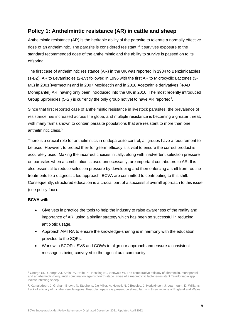# **Policy 1: Anthelmintic resistance (AR) in cattle and sheep**

Anthelmintic resistance (AR) is the heritable ability of the parasite to tolerate a normally effective dose of an anthelmintic. The parasite is considered resistant if it survives exposure to the standard recommended dose of the anthelmintic and the ability to survive is passed on to its offspring.

The first case of anthelmintic resistance (AR) in the UK was reported in 1984 to Benzimidazoles (1-BZ). AR to Levamisoles (2-LV) followed in 1996 with the first AR to Microcyclic Lactones (3- ML) in 2001(Ivermectin) and in 2007 Moxidectin and in 2018 Acetonitrile derivatives (4-AD Monepantel) AR, having only been introduced into the UK in 2010. The most recently introduced Group Spiroindles (5-SI) is currently the only group not yet to have AR reported<sup>2</sup>.

Since that first reported case of anthelmintic resistance in livestock parasites, the prevalence of resistance has increased across the globe, and multiple resistance is becoming a greater threat, with many farms shown to contain parasite populations that are resistant to more than one anthelmintic class. 3

There is a crucial role for anthelmintics in endoparasite control; all groups have a requirement to be used. However, to protect their long-term efficacy it is vital to ensure the correct product is accurately used. Making the incorrect choices initially, along with inadvertent selection pressure on parasites when a combination is used unnecessarily, are important contributors to AR. It is also essential to reduce selection pressure by developing and then enforcing a shift from routine treatments to a diagnostic-led approach. BCVA are committed to contributing to this shift. Consequently, structured education is a crucial part of a successful overall approach to this issue (see policy four).

- Give vets in practice the tools to help the industry to raise awareness of the reality and importance of AR, using a similar strategy which has been so successful in reducing antibiotic usage.
- Approach AMTRA to ensure the knowledge-sharing is in harmony with the education provided to the SQPs.
- Work with SCOPs, SVS and COWs to align our approach and ensure a consistent message is being conveyed to the agricultural community.

<sup>&</sup>lt;sup>2</sup> George SD, George AJ, Stein PA, Rolfe PF, Hosking BC, Seewald W. The comparative efficacy of abamectin, monepantel and an abamectin/derquantel combination against fourth-stage larvae of a macrocyclic lactone-resistant Teladorsagia spp. isolate infecting sheep.

**<sup>3</sup>** . Kamaludeen, J. Graham-Brown, N. Stephens, J.e Miller, A. Howell, N. J Beesley, J. Hodgkinson, J. Learmount, D. Williams Lack of efficacy of triclabendazole against Fasciola hepatica is present on sheep farms in three regions of England and Wales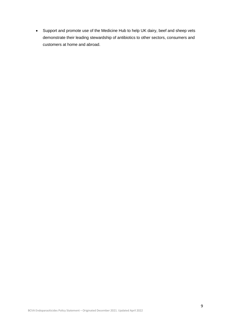• Support and promote use of the Medicine Hub to help UK dairy, beef and sheep vets demonstrate their leading stewardship of antibiotics to other sectors, consumers and customers at home and abroad.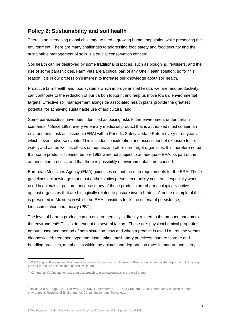# **Policy 2: Sustainability and soil health**

There is an increasing global challenge to feed a growing human population while preserving the environment. There are many challenges to addressing food safety and food security and the sustainable management of soils is a crucial conservation concern.

Soil health can be destroyed by some traditional practices, such as ploughing, fertilisers, and the use of some parasiticides. Farm vets are a critical part of any One Health solution, so for this reason, it is in our profession's interest to increase our knowledge about soil health.

Proactive farm health and food systems which improve animal health, welfare, and productivity, can contribute to the reduction of our carbon footprint and help us move toward environmental targets. Effective soil management alongside associated health plans provide the greatest potential for achieving sustainable use of agricultural land.<sup>4</sup>

Some parasiticidess have been identified as posing risks to the environment under certain scenarios.<sup>5</sup> Since 1992, every veterinary medicinal product that is authorised must contain an environmental risk assessment (ERA) with a Periodic Safety Update Return every three years, which covers adverse events. This includes consideration and assessment of exposure to soil, water, and air, as well as effects on aquatic and other non-target organisms. It is therefore noted that some products licensed before 1992 were not subject to an adequate ERA, as part of the authorisation process, and that there is possibility of environmental harm caused.

European Medicines Agency (EMA) guidelines set out the data requirements for the ERA. These guidelines acknowledge that most anthelmintics present ecotoxicity concerns, especially when used in animals at pasture, because many of these products are pharmacologically active against organisms that are biologically related to pasture invertebrates. A prime example of this is presented in Moxidectin which the EMA considers fulfils the criteria of persistence, bioaccumulation and toxicity (PBT).

The level of harm a product can do environmentally is directly related to the amount that enters the environment<sup>6</sup>. This is dependent on several factors. These are: physicochemical properties; amount used and method of administration; how and when a product is used i.e., routine versus diagnostic-led; treatment type and dose; animal husbandry practices; manure storage and handling practices; metabolism within the animal; and degradation rates in manure and slurry.

<sup>4</sup> W R Teague, Forages and Pastures Symposium: Cover crops in Livestock Production: Whole-system Approach. Managing grazing to restore soil health and farm livelihoods

<sup>5</sup> Kümmerer, K, Options for a strategic approach to pharmaceuticals in the environment

<sup>6</sup> Boxall, A.B.A, Fogg, L.A., Blackwell, P.A, Kay, P, Pemberton, E.J., and Croxford, A. 2004. Veterinary medicines in the environment. Reviews of Environmental Contamination and Toxicology.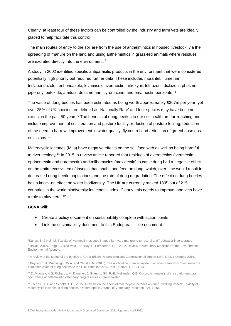Clearly, at least four of these factors can be controlled by the industry and farm vets are ideally placed to help facilitate this control.

The main routes of entry to the soil are from the use of anthelmintics in housed livestock; via the spreading of manure on the land and using anthelmintics in grass-fed animals where residues are excreted directly into the environment.<sup>7</sup>

A study in 2002 identified specific antiparasitic products in the environment that were considered potentially high priority but required further data. These included morantel, flumethrin, triclabendazole, fenbendazole, levamisole, ivermectin, nitroxynil, toltrazuril, diclazuril, phosmet, piperonyl butoxide, amitraz, deltamethrin, cyromazine, and emamectin benzoate. <sup>8</sup>

The value of dung beetles has been estimated as being worth approximately £367m per year, yet over 25% of UK species are defined as 'Nationally Rare' and four species may have become extinct in the past 50 years.<sup>9</sup> The benefits of dung beetles to our soil health are far-reaching and include improvement of soil aeration and pasture fertility; reduction of pasture fouling; reduction of the need to harrow; improvement in water quality; fly control and reduction of greenhouse gas emissions. <sup>10</sup>

Macrocyclic lactones (MLs) have negative effects on the soil food web as well as being harmful to river ecology.<sup>11</sup> In 2015, a review article reported that residues of avermectins (ivermectin, eprinomectin and doramectin) and milbemycins (moxidectin) in cattle dung had a negative effect on the entire ecosystem of insects that inhabit and feed on dung, which, over time would result in decreased dung beetle populations and the rate of dung degradation. The effect on dung beetles has a knock-on effect on wider biodiversity. The UK are currently ranked 189<sup>th</sup> out of 215 countries in the world biodiversity intactness index. Clearly, this needs to improve, and vets have a role to play here. <sup>12</sup>

- Create a policy document on sustainability complete with action points.
- Link the sustainability document to this Endoparasiticide document.

<sup>7</sup>[Sands, B.](https://research-information.bris.ac.uk/en/persons/bryony-o-sands) & Noll, M. [Toxicity of ivermectin residues in aged farmyard manure to terrestrial and freshwater invertebrates](https://research-information.bris.ac.uk/en/publications/toxicity-of-ivermectin-residues-in-aged-farmyard-manure-to-terres) <sup>8</sup> Boxall, A.B.A, Fogg, L., Blackwell, P.A, Kay, P, Pemberton, E.J., 2002, Review of Veterinary Medicines in the Environment. Environmental Agency.

<sup>&</sup>lt;sup>9</sup> A review of the status of the beetles of Great Britain, Natural England Commissioned Report NECR224, 1 October 2016.

<sup>&</sup>lt;sup>10</sup>Bevnon. S.A. Wainwright, W.A. and Christie, M. (2015), The application of an ecosystem services framework to estimate the economic value of dung beetles to the U.K. cattle industry. Ecol Entomol, 40: 124-135

<sup>11</sup> D. Mooney, K.G. Richards, M. Danaher, J. Grant, L. Gill, P.-E. Mellander, C.E. Coxon, An analysis of the spatio-temporal occurrence of anthelmintic veterinary drug residues in groundwater

<sup>&</sup>lt;sup>12</sup> Jacobs, C. T. and Scholtz, C.H., 2015, A review on the effect of macrocyclic lactones on dung-dwelling insects: Toxicity of macrocyclic lactones to dung beetles. Onderstepoort Journal of Veterinary Research, 82(1); 858.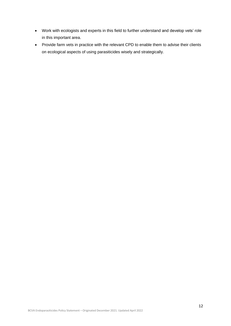- Work with ecologists and experts in this field to further understand and develop vets' role in this important area.
- Provide farm vets in practice with the relevant CPD to enable them to advise their clients on ecological aspects of using parasiticides wisely and strategically.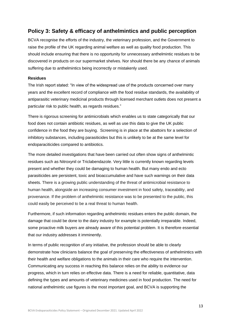# **Policy 3: Safety & efficacy of anthelmintics and public perception**

BCVA recognise the efforts of the industry, the veterinary profession, and the Government to raise the profile of the UK regarding animal welfare as well as quality food production. This should include ensuring that there is no opportunity for unnecessary anthelmintic residues to be discovered in products on our supermarket shelves. Nor should there be any chance of animals suffering due to anthelmintics being incorrectly or mistakenly used.

#### **Residues**

The Irish report stated: "In view of the widespread use of the products concerned over many years and the excellent record of compliance with the food residue standards, the availability of antiparasitic veterinary medicinal products through licensed merchant outlets does not present a particular risk to public health, as regards residues."

There is rigorous screening for antimicrobials which enables us to state categorically that our food does not contain antibiotic residues, as well as use this data to give the UK public confidence in the food they are buying. Screening is in place at the abattoirs for a selection of inhibitory substances, including parasiticides but this is unlikely to be at the same level for endoparaciticides compared to antibiotics.

The more detailed investigations that have been carried out often show signs of anthelmintic residues such as Nitroxynil or Triclabendazole. Very little is currently known regarding levels present and whether they could be damaging to human health. But many endo and ecto parasiticides are persistent, toxic and bioaccumulative and have such warnings on their data sheets. There is a growing public understanding of the threat of antimicrobial resistance to human health, alongside an increasing consumer investment in food safety, traceability, and provenance. If the problem of anthelmintic resistance was to be presented to the public, this could easily be perceived to be a real threat to human health.

Furthermore, if such information regarding anthelmintic residues enters the public domain, the damage that could be done to the dairy industry for example is potentially irreparable. Indeed, some proactive milk buyers are already aware of this potential problem. It is therefore essential that our industry addresses it imminently.

In terms of public recognition of any initiative, the profession should be able to clearly demonstrate how clinicians balance the goal of preserving the effectiveness of anthelmintics with their health and welfare obligations to the animals in their care who require the intervention. Communicating any success in reaching this balance relies on the ability to evidence our progress, which in turn relies on effective data. There is a need for reliable, quantitative, data defining the types and amounts of veterinary medicines used in food production. The need for national anthelmintic use figures is the most important goal, and BCVA is supporting the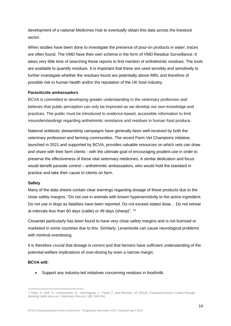development of a national Medicines Hub to eventually obtain this data across the livestock sector.

When studies have been done to investigate the presence of pour-on products in water, traces are often found. The VMD have their own scheme in the form of VMD Residue Surveillance. It takes very little time of searching these reports to find mention of anthelmintic residues. The tools are available to quantify residues. It is important that these are used sensibly and sensitively to further investigate whether the residues found are potentially above MRL and therefore of possible risk to human health and/or the reputation of the UK food industry.

#### **Parasiticide ambassadors**

BCVA is committed to developing greater understanding in the veterinary profession and believes that public perception can only be improved as we develop our own knowledge and practices. The public must be introduced to evidence-based, accessible information to limit misunderstandings regarding anthelmintic resistance and residues in human food produce.

National antibiotic stewardship campaigns have generally been well-received by both the veterinary profession and farming communities. The recent Farm Vet Champions initiative, launched in 2021 and supported by BCVA, provides valuable resources on which vets can draw and share with their farm clients - with the ultimate goal of encouraging prudent use in order to preserve the effectiveness of these vital veterinary medicines. A similar dedication and focus would benefit parasite control – anthelmintic ambassadors, who would hold the standard in practice and take their cause to clients on farm.

#### **Safety**

Many of the data sheets contain clear warnings regarding dosage of these products due to the close safety margins. "Do not use in animals with known hypersensitivity to the active ingredient. Do not use in dogs as fatalities have been reported. Do not exceed stated dose… Do not retreat at intervals less than 60 days (cattle) or 49 days (sheep)". <sup>13</sup>

Closantel particularly has been found to have very close safety margins and is not licensed or marketed in some countries due to this. Similarly, Levamisole can cause neurological problems with minimal overdosing.

It is therefore crucial that dosage is correct and that farmers have sufficient understanding of the potential welfare implications of over-dosing by even a narrow margin.

#### **BCVA will:**

• Support any industry-led initiatives concerning residues in food/milk.

<sup>13</sup> Otter, A., Bell, S., Loewenstein, N., Hemingway, J., Floyd, T. and Wessels, M. (2018), Closantel toxicity in ewes through drinking cattle pour-on. Veterinary Record, 183: 540-541.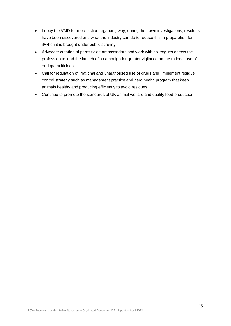- Lobby the VMD for more action regarding why, during their own investigations, residues have been discovered and what the industry can do to reduce this in preparation for if/when it is brought under public scrutiny.
- Advocate creation of parasiticide ambassadors and work with colleagues across the profession to lead the launch of a campaign for greater vigilance on the rational use of endoparaciticides.
- Call for regulation of irrational and unauthorised use of drugs and, implement residue control strategy such as management practice and herd health program that keep animals healthy and producing efficiently to avoid residues.
- Continue to promote the standards of UK animal welfare and quality food production.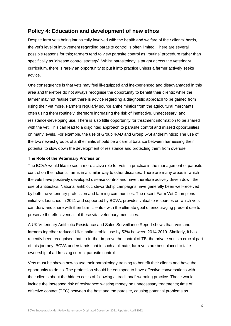## **Policy 4: Education and development of new ethos**

Despite farm vets being intrinsically involved with the health and welfare of their clients' herds, the vet's level of involvement regarding parasite control is often limited. There are several possible reasons for this; farmers tend to view parasite control as 'routine' procedure rather than specifically as 'disease control strategy'. Whilst parasitology is taught across the veterinary curriculum, there is rarely an opportunity to put it into practice unless a farmer actively seeks advice.

One consequence is that vets may feel ill-equipped and inexperienced and disadvantaged in this area and therefore do not always recognise the opportunity to benefit their clients; while the farmer may not realise that there is advice regarding a diagnostic approach to be gained from using their vet more. Farmers regularly source anthelmintics from the agricultural merchants, often using them routinely, therefore increasing the risk of ineffective, unnecessary, and resistance-developing use. There is also little opportunity for treatment information to be shared with the vet. This can lead to a disjointed approach to parasite control and missed opportunities on many levels. For example, the use of Group 4-AD and Group 5-SI anthelmintics: The use of the two newest groups of anthelmintic should be a careful balance between harnessing their potential to slow down the development of resistance and protecting them from overuse.

#### **The Role of the Veterinary Profession**

The BCVA would like to see a more active role for vets in practice in the management of parasite control on their clients' farms in a similar way to other diseases. There are many areas in which the vets have positively developed disease control and have therefore actively driven down the use of antibiotics. National antibiotic stewardship campaigns have generally been well-received by both the veterinary profession and farming communities. The recent Farm Vet Champions initiative, launched in 2021 and supported by BCVA, provides valuable resources on which vets can draw and share with their farm clients - with the ultimate goal of encouraging prudent use to preserve the effectiveness of these vital veterinary medicines.

A UK Veterinary Antibiotic Resistance and Sales Surveillance Report shows that, vets and farmers together reduced UK's antimicrobial use by 53% between 2014-2019. Similarly, it has recently been recognised that, to further improve the control of TB, the private vet is a crucial part of this journey. BCVA understands that in such a climate, farm vets are best placed to take ownership of addressing correct parasite control.

Vets must be shown how to use their parasitology training to benefit their clients and have the opportunity to do so. The profession should be equipped to have effective conversations with their clients about the hidden costs of following a 'traditional' worming practice. These would include the increased risk of resistance; wasting money on unnecessary treatments; time of effective contact (TEC) between the host and the parasite, causing potential problems as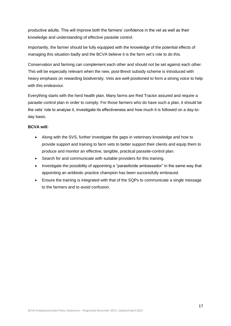productive adults. This will improve both the farmers' confidence in the vet as well as their knowledge and understanding of effective parasite control.

Importantly, the farmer should be fully equipped with the knowledge of the potential effects of managing this situation badly and the BCVA believe it is the farm vet's role to do this.

Conservation and farming can complement each other and should not be set against each other. This will be especially relevant when the new, post-Brexit subsidy scheme is introduced with heavy emphasis on rewarding biodiversity. Vets are well-positioned to form a strong voice to help with this endeavour.

Everything starts with the herd health plan. Many farms are Red Tractor assured and require a parasite control plan in order to comply. For those farmers who do have such a plan, it should be the vets' role to analyse it, investigate its effectiveness and how much it is followed on a day-today basis.

- Along with the SVS, further investigate the gaps in veterinary knowledge and how to provide support and training to farm vets to better support their clients and equip them to produce and monitor an effective, tangible, practical parasite-control plan.
- Search for and communicate with suitable providers for this training.
- Investigate the possibility of appointing a "parasiticide ambassador" in the same way that appointing an antibiotic practice champion has been successfully embraced.
- Ensure the training is integrated with that of the SQPs to communicate a single message to the farmers and to avoid confusion.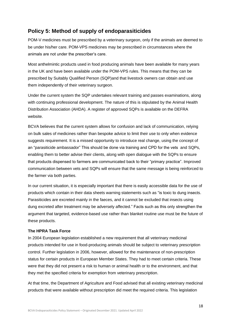# **Policy 5: Method of supply of endoparasiticides**

POM-V medicines must be prescribed by a veterinary surgeon, only if the animals are deemed to be under his/her care. POM-VPS medicines may be prescribed in circumstances where the animals are not under the prescriber's care.

Most anthelmintic products used in food producing animals have been available for many years in the UK and have been available under the POM-VPS rules. This means that they can be prescribed by Suitably Qualified Person (SQP)and that livestock owners can obtain and use them independently of their veterinary surgeon.

Under the current system the SQP undertakes relevant training and passes examinations, along with continuing professional development. The nature of this is stipulated by the Animal Health Distribution Association (AHDA). A register of approved SQPs is available on the DEFRA website.

BCVA believes that the current system allows for confusion and lack of communication, relying on bulk sales of medicines rather than bespoke advice to limit their use to only when evidence suggests requirement. It is a missed opportunity to introduce real change, using the concept of an "parasiticide ambassador" This should be done via training and CPD for the vets and SQPs, enabling them to better advise their clients, along with open dialogue with the SQPs to ensure that products dispensed to farmers are communicated back to their "primary practice". Improved communication between vets and SQPs will ensure that the same message is being reinforced to the farmer via both parties.

In our current situation, it is especially important that there is easily accessible data for the use of products which contain in their data sheets warning statements such as "is toxic to dung insects. Parasiticides are excreted mainly in the faeces, and it cannot be excluded that insects using dung excreted after treatment may be adversely affected." Facts such as this only strengthen the argument that targeted, evidence-based use rather than blanket routine use must be the future of these products.

## **The HPRA Task Force**

In 2004 European legislation established a new requirement that all veterinary medicinal products intended for use in food-producing animals should be subject to veterinary prescription control. Further legislation in 2006, however, allowed for the maintenance of non-prescription status for certain products in European Member States. They had to meet certain criteria. These were that they did not present a risk to human or animal health or to the environment, and that they met the specified criteria for exemption from veterinary prescription.

At that time, the Department of Agriculture and Food advised that all existing veterinary medicinal products that were available without prescription did meet the required criteria. This legislation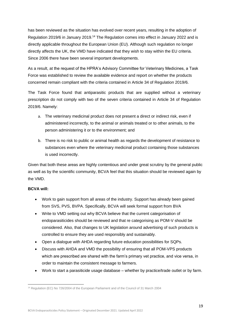has been reviewed as the situation has evolved over recent years, resulting in the adoption of Regulation 2019/6 in January 2019.<sup>14</sup> The Regulation comes into effect in January 2022 and is directly applicable throughout the European Union (EU). Although such regulation no longer directly affects the UK, the VMD have indicated that they wish to stay within the EU criteria. Since 2006 there have been several important developments.

As a result, at the request of the HPRA's Advisory Committee for Veterinary Medicines, a Task Force was established to review the available evidence and report on whether the products concerned remain compliant with the criteria contained in Article 34 of Regulation 2019/6.

The Task Force found that antiparasitic products that are supplied without a veterinary prescription do not comply with two of the seven criteria contained in Article 34 of Regulation 2019/6. Namely:

- a. The veterinary medicinal product does not present a direct or indirect risk, even if administered incorrectly, to the animal or animals treated or to other animals, to the person administering it or to the environment; and
- b. There is no risk to public or animal health as regards the development of resistance to substances even where the veterinary medicinal product containing those substances is used incorrectly.

Given that both these areas are highly contentious and under great scrutiny by the general public as well as by the scientific community, BCVA feel that this situation should be reviewed again by the VMD.

- Work to gain support from all areas of the industry. Support has already been gained from SVS, PVS, BVPA. Specifically, BCVA will seek formal support from BVA
- Write to VMD setting out why BCVA believe that the current categorisation of endoparasiticides should be reviewed and that re categorising as POM-V should be considered. Also, that changes to UK legislation around advertising of such products is controlled to ensure they are used responsibly and sustainably.
- Open a dialogue with AHDA regarding future education possibilities for SQPs.
- Discuss with AHDA and VMD the possibility of ensuring that all POM-VPS products which are prescribed are shared with the farm's primary vet practice, and vice versa, in order to maintain the consistent message to farmers.
- Work to start a parasiticide usage database whether by practice/trade outlet or by farm.

<sup>&</sup>lt;sup>14</sup> Regulation (EC) No 726/2004 of the European Parliament and of the Council of 31 March 2004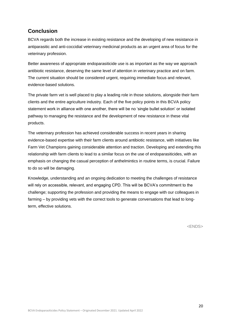# **Conclusion**

BCVA regards both the increase in existing resistance and the developing of new resistance in antiparasitic and anti-coccidial veterinary medicinal products as an urgent area of focus for the veterinary profession.

Better awareness of appropriate endoparasiticide use is as important as the way we approach antibiotic resistance, deserving the same level of attention in veterinary practice and on farm. The current situation should be considered urgent, requiring immediate focus and relevant, evidence-based solutions.

The private farm vet is well placed to play a leading role in those solutions, alongside their farm clients and the entire agriculture industry. Each of the five policy points in this BCVA policy statement work in alliance with one another, there will be no 'single bullet solution' or isolated pathway to managing the resistance and the development of new resistance in these vital products.

The veterinary profession has achieved considerable success in recent years in sharing evidence-based expertise with their farm clients around antibiotic resistance, with initiatives like Farm Vet Champions gaining considerable attention and traction. Developing and extending this relationship with farm clients to lead to a similar focus on the use of endoparasiticides, with an emphasis on changing the casual perception of anthelmintics in routine terms, is crucial. Failure to do so will be damaging.

Knowledge, understanding and an ongoing dedication to meeting the challenges of resistance will rely on accessible, relevant, and engaging CPD. This will be BCVA's commitment to the challenge; supporting the profession and providing the means to engage with our colleagues in farming – by providing vets with the correct tools to generate conversations that lead to longterm, effective solutions.

<ENDS>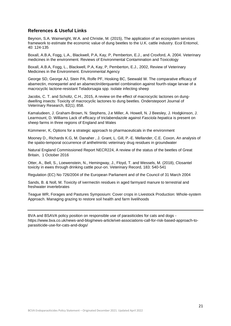## **References & Useful Links**

Beynon, S.A. Wainwright, W.A. and Christie, M. (2015), The application of an ecosystem services framework to estimate the economic value of dung beetles to the U.K. cattle industry. Ecol Entomol, 40: 124-135

Boxall, A.B.A, Fogg, L.A., Blackwell, P.A, Kay, P, Pemberton, E.J., and Croxford, A. 2004. Veterinary medicines in the environment. Reviews of Environmental Contamination and Toxicology

Boxall, A.B.A, Fogg, L., Blackwell, P.A, Kay, P, Pemberton, E.J., 2002, Review of Veterinary Medicines in the Environment. Environmental Agency

George SD, George AJ, Stein PA, Rolfe PF, Hosking BC, Seewald W. The comparative efficacy of abamectin, monepantel and an abamectin/derquantel combination against fourth-stage larvae of a macrocyclic lactone-resistant Teladorsagia spp. isolate infecting sheep

Jacobs, C. T. and Scholtz, C.H., 2015, A review on the effect of macrocyclic lactones on dungdwelling insects: Toxicity of macrocyclic lactones to dung beetles. Onderstepoort Journal of Veterinary Research, 82(1); 858.

Kamaludeen, J. Graham-Brown, N. Stephens, J.e Miller, A. Howell, N. J Beesley, J. Hodgkinson, J. Learmount, D. Williams Lack of efficacy of triclabendazole against *Fasciola hepatica* is present on sheep farms in three regions of England and Wales

Kümmerer, K, Options for a strategic approach to pharmaceuticals in the environment

Mooney D., Richards K.G, M. Danaher , J. Grant, L. Gill, P.-E. Mellander, C.E. Coxon, An analysis of the spatio-temporal occurrence of anthelmintic veterinary drug residues in groundwater

Natural England Commissioned Report NECR224, A review of the status of the beetles of Great Britain, 1 October 2016

Otter, A., Bell, S., Loewenstein, N., Hemingway, J., Floyd, T. and Wessels, M. (2018), Closantel toxicity in ewes through drinking cattle pour-on. Veterinary Record, 183: 540-541

Regulation (EC) No 726/2004 of the European Parliament and of the Council of 31 March 2004

Sands, B. & Noll, M. Toxicity of ivermectin residues in aged farmyard manure to terrestrial and freshwater invertebrates

Teague WR, Forages and Pastures Symposium: Cover crops in Livestock Production: Whole-system Approach. Managing grazing to restore soil health and farm livelihoods

BVA and BSAVA policy position on responsible use of parasiticides for cats and dogs https://www.bva.co.uk/news-and-blog/news-article/vet-associations-call-for-risk-based-approach-toparasiticide-use-for-cats-and-dogs/